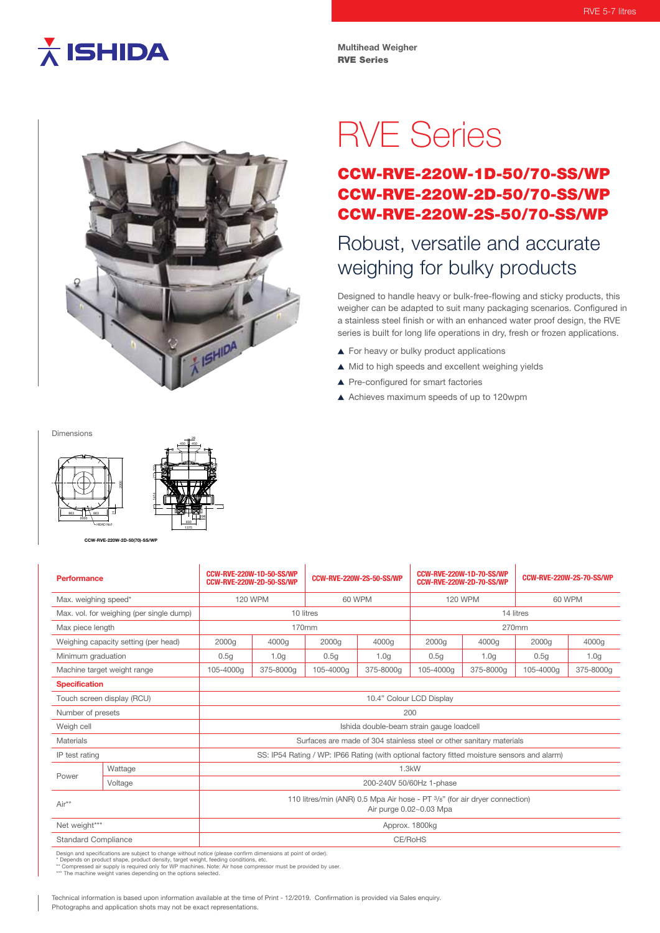# $\overline{\lambda}$  ISHIDA

**Multihead Weigher** RVE Series



296

28

# RVE Series

## CCW-RVE-220W-1D-50/70-SS/WP CCW-RVE-220W-2D-50/70-SS/WP CCW-RVE-220W-2S-50/70-SS/WP

# Robust, versatile and accurate weighing for bulky products

Designed to handle heavy or bulk-free-flowing and sticky products, this weigher can be adapted to suit many packaging scenarios. Configured in a stainless steel finish or with an enhanced water proof design, the RVE series is built for long life operations in dry, fresh or frozen applications.

- For heavy or bulky product applications
- $\triangle$  Mid to high speeds and excellent weighing yields
- ▲ Pre-configured for smart factories
- Achieves maximum speeds of up to 120wpm

Dimensions



**CCW-RVE-220W-2D-50(70)-SS/WP**

| <b>Performance</b>                                                                                             |         | <b>CCW-RVE-220W-1D-50-SS/WP</b><br><b>CCW-RVE-220W-2D-50-SS/WP</b>                                    |                  | <b>CCW-RVE-220W-2S-50-SS/WP</b> |                  | <b>CCW-RVE-220W-1D-70-SS/WP</b><br><b>CCW-RVE-220W-2D-70-SS/WP</b> |                  | <b>CCW-RVE-220W-2S-70-SS/WP</b> |                  |
|----------------------------------------------------------------------------------------------------------------|---------|-------------------------------------------------------------------------------------------------------|------------------|---------------------------------|------------------|--------------------------------------------------------------------|------------------|---------------------------------|------------------|
| Max. weighing speed*                                                                                           |         | <b>120 WPM</b>                                                                                        |                  | 60 WPM                          |                  | <b>120 WPM</b>                                                     |                  | 60 WPM                          |                  |
| Max. vol. for weighing (per single dump)                                                                       |         | 10 litres                                                                                             |                  |                                 |                  | 14 litres                                                          |                  |                                 |                  |
| Max piece length                                                                                               |         | 170mm                                                                                                 |                  |                                 |                  | 270mm                                                              |                  |                                 |                  |
| Weighing capacity setting (per head)                                                                           |         | 2000g                                                                                                 | 4000g            | 2000g                           | 4000g            | 2000g                                                              | 4000g            | 2000g                           | 4000g            |
| Minimum graduation                                                                                             |         | 0.5q                                                                                                  | 1.0 <sub>q</sub> | 0.5q                            | 1.0 <sub>q</sub> | 0.5q                                                               | 1.0 <sub>q</sub> | 0.5g                            | 1.0 <sub>q</sub> |
| Machine target weight range                                                                                    |         | 105-4000a                                                                                             | 375-8000g        | 105-4000g                       | 375-8000a        | 105-4000g                                                          | 375-8000g        | 105-4000g                       | 375-8000a        |
| <b>Specification</b>                                                                                           |         |                                                                                                       |                  |                                 |                  |                                                                    |                  |                                 |                  |
| Touch screen display (RCU)                                                                                     |         | 10.4" Colour LCD Display                                                                              |                  |                                 |                  |                                                                    |                  |                                 |                  |
| Number of presets                                                                                              |         | 200                                                                                                   |                  |                                 |                  |                                                                    |                  |                                 |                  |
| Weigh cell                                                                                                     |         | Ishida double-beam strain gauge loadcell                                                              |                  |                                 |                  |                                                                    |                  |                                 |                  |
| <b>Materials</b>                                                                                               |         | Surfaces are made of 304 stainless steel or other sanitary materials                                  |                  |                                 |                  |                                                                    |                  |                                 |                  |
| IP test rating                                                                                                 |         | SS: IP54 Rating / WP: IP66 Rating (with optional factory fitted moisture sensors and alarm)           |                  |                                 |                  |                                                                    |                  |                                 |                  |
| Power                                                                                                          | Wattage | 1.3kW                                                                                                 |                  |                                 |                  |                                                                    |                  |                                 |                  |
|                                                                                                                | Voltage | 200-240V 50/60Hz 1-phase                                                                              |                  |                                 |                  |                                                                    |                  |                                 |                  |
| Air**                                                                                                          |         | 110 litres/min (ANR) 0.5 Mpa Air hose - PT 3/8" (for air dryer connection)<br>Air purge 0.02~0.03 Mpa |                  |                                 |                  |                                                                    |                  |                                 |                  |
| Net weight***                                                                                                  |         | Approx. 1800kg                                                                                        |                  |                                 |                  |                                                                    |                  |                                 |                  |
| <b>Standard Compliance</b>                                                                                     |         | CE/RoHS                                                                                               |                  |                                 |                  |                                                                    |                  |                                 |                  |
| Nooted and coordinations are collising to observe collision and the following discovering and actual of code.A |         |                                                                                                       |                  |                                 |                  |                                                                    |                  |                                 |                  |

Design and specifications are subject to change without notice (please confirm dimensions at point of order).<br>\* Depends on product shape, product density, target weight, feeding conditions, etc.<br>\*\* Compressed air supply is